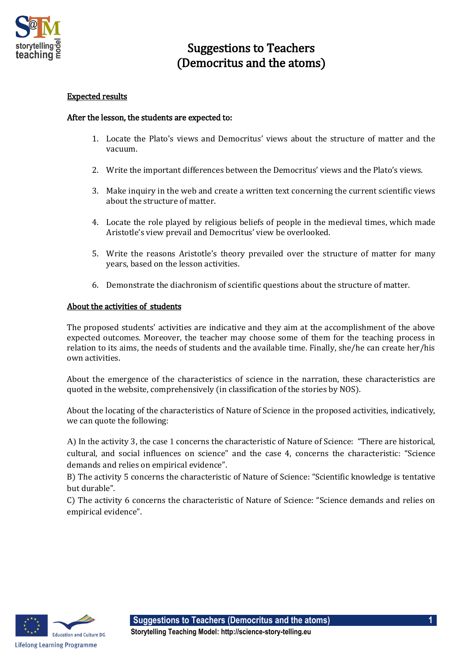

## Suggestions to Teachers (Democritus and the atoms)

## Expected results

## After the lesson, the students are expected to:

- 1. Locate the Plato's views and Democritus' views about the structure of matter and the vacuum.
- 2. Write the important differences between the Democritus' views and the Plato's views.
- 3. Make inquiry in the web and create a written text concerning the current scientific views about the structure of matter.
- 4. Locate the role played by religious beliefs of people in the medieval times, which made Aristotle's view prevail and Democritus' view be overlooked.
- 5. Write the reasons Aristotle's theory prevailed over the structure of matter for many years, based on the lesson activities.
- 6. Demonstrate the diachronism of scientific questions about the structure of matter.

## About the activities of students

The proposed students' activities are indicative and they aim at the accomplishment of the above expected outcomes. Moreover, the teacher may choose some of them for the teaching process in relation to its aims, the needs of students and the available time. Finally, she/he can create her/his own activities.

About the emergence of the characteristics of science in the narration, these characteristics are quoted in the website, comprehensively (in classification of the stories by NOS).

About the locating of the characteristics of Nature of Science in the proposed activities, indicatively, we can quote the following:

A) In the activity 3, the case 1 concerns the characteristic of Nature of Science: "There are historical, cultural, and social influences on science" and the case 4, concerns the characteristic: "Science demands and relies on empirical evidence".

B) The activity 5 concerns the characteristic of Nature of Science: "Scientific knowledge is tentative but durable".

C) The activity 6 concerns the characteristic of Nature of Science: "Science demands and relies on empirical evidence".